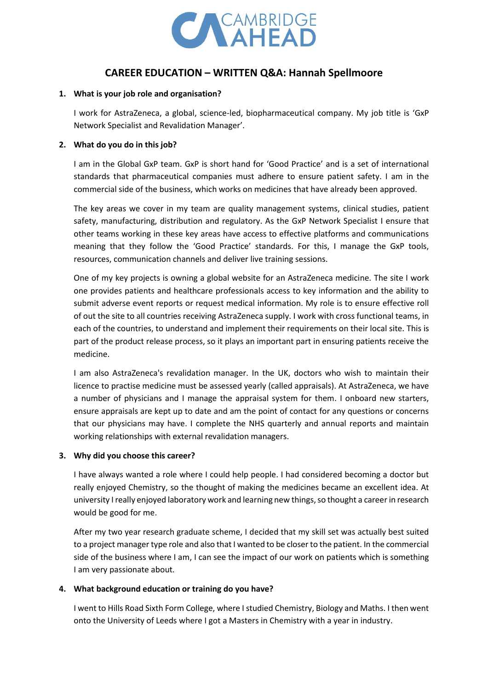

# **CAREER EDUCATION – WRITTEN Q&A: Hannah Spellmoore**

#### **1. What is your job role and organisation?**

I work for AstraZeneca, a global, science-led, biopharmaceutical company. My job title is 'GxP Network Specialist and Revalidation Manager'.

## **2. What do you do in this job?**

I am in the Global GxP team. GxP is short hand for 'Good Practice' and is a set of international standards that pharmaceutical companies must adhere to ensure patient safety. I am in the commercial side of the business, which works on medicines that have already been approved.

The key areas we cover in my team are quality management systems, clinical studies, patient safety, manufacturing, distribution and regulatory. As the GxP Network Specialist I ensure that other teams working in these key areas have access to effective platforms and communications meaning that they follow the 'Good Practice' standards. For this, I manage the GxP tools, resources, communication channels and deliver live training sessions.

One of my key projects is owning a global website for an AstraZeneca medicine. The site I work one provides patients and healthcare professionals access to key information and the ability to submit adverse event reports or request medical information. My role is to ensure effective roll of out the site to all countries receiving AstraZeneca supply. I work with cross functional teams, in each of the countries, to understand and implement their requirements on their local site. This is part of the product release process, so it plays an important part in ensuring patients receive the medicine.

I am also AstraZeneca's revalidation manager. In the UK, doctors who wish to maintain their licence to practise medicine must be assessed yearly (called appraisals). At AstraZeneca, we have a number of physicians and I manage the appraisal system for them. I onboard new starters, ensure appraisals are kept up to date and am the point of contact for any questions or concerns that our physicians may have. I complete the NHS quarterly and annual reports and maintain working relationships with external revalidation managers.

# **3. Why did you choose this career?**

I have always wanted a role where I could help people. I had considered becoming a doctor but really enjoyed Chemistry, so the thought of making the medicines became an excellent idea. At university I really enjoyed laboratory work and learning new things, so thought a career in research would be good for me.

After my two year research graduate scheme, I decided that my skill set was actually best suited to a project manager type role and also that I wanted to be closer to the patient. In the commercial side of the business where I am, I can see the impact of our work on patients which is something I am very passionate about.

# **4. What background education or training do you have?**

I went to Hills Road Sixth Form College, where I studied Chemistry, Biology and Maths. I then went onto the University of Leeds where I got a Masters in Chemistry with a year in industry.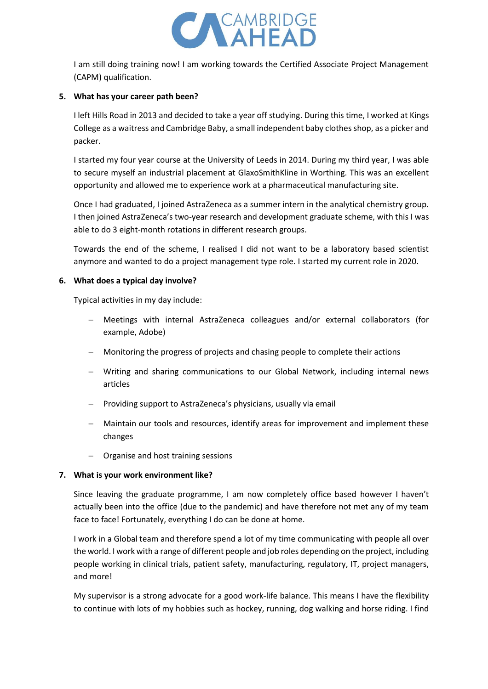

I am still doing training now! I am working towards the Certified Associate Project Management (CAPM) qualification.

#### **5. What has your career path been?**

I left Hills Road in 2013 and decided to take a year off studying. During this time, I worked at Kings College as a waitress and Cambridge Baby, a small independent baby clothes shop, as a picker and packer.

I started my four year course at the University of Leeds in 2014. During my third year, I was able to secure myself an industrial placement at GlaxoSmithKline in Worthing. This was an excellent opportunity and allowed me to experience work at a pharmaceutical manufacturing site.

Once I had graduated, I joined AstraZeneca as a summer intern in the analytical chemistry group. I then joined AstraZeneca's two-year research and development graduate scheme, with this I was able to do 3 eight-month rotations in different research groups.

Towards the end of the scheme, I realised I did not want to be a laboratory based scientist anymore and wanted to do a project management type role. I started my current role in 2020.

#### **6. What does a typical day involve?**

Typical activities in my day include:

- − Meetings with internal AstraZeneca colleagues and/or external collaborators (for example, Adobe)
- − Monitoring the progress of projects and chasing people to complete their actions
- − Writing and sharing communications to our Global Network, including internal news articles
- − Providing support to AstraZeneca's physicians, usually via email
- Maintain our tools and resources, identify areas for improvement and implement these changes
- − Organise and host training sessions

#### **7. What is your work environment like?**

Since leaving the graduate programme, I am now completely office based however I haven't actually been into the office (due to the pandemic) and have therefore not met any of my team face to face! Fortunately, everything I do can be done at home.

I work in a Global team and therefore spend a lot of my time communicating with people all over the world. I work with a range of different people and job roles depending on the project, including people working in clinical trials, patient safety, manufacturing, regulatory, IT, project managers, and more!

My supervisor is a strong advocate for a good work-life balance. This means I have the flexibility to continue with lots of my hobbies such as hockey, running, dog walking and horse riding. I find